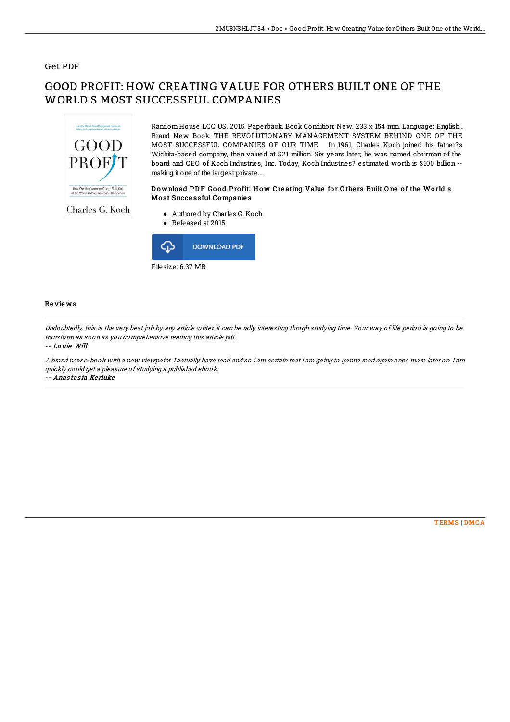## Get PDF

# GOOD PROFIT: HOW CREATING VALUE FOR OTHERS BUILT ONE OF THE WORLD S MOST SUCCESSFUL COMPANIES



Random House LCC US, 2015. Paperback. Book Condition: New. 233 x 154 mm. Language: English . Brand New Book. THE REVOLUTIONARY MANAGEMENT SYSTEM BEHIND ONE OF THE MOST SUCCESSFUL COMPANIES OF OUR TIME In 1961, Charles Koch joined his father?s Wichita-based company, then valued at \$21 million. Six years later, he was named chairman of the board and CEO of Koch Industries, Inc. Today, Koch Industries? estimated worth is \$100 billion - making it one of the largest private...

### Download PDF Good Profit: How Creating Value for Others Built One of the World s Mo st Succe ssful Companie s

Authored by Charles G. Koch Released at 2015



#### Re vie ws

Undoubtedly, this is the very best job by any article writer. It can be rally interesting throgh studying time. Your way of life period is going to be transform as soon as you comprehensive reading this article pdf.

#### -- Lo uie Will

A brand new e-book with <sup>a</sup> new viewpoint. I actually have read and so i am certain that i am going to gonna read again once more later on. I am quickly could get <sup>a</sup> pleasure of studying <sup>a</sup> published ebook. -- Anas tas ia Ke rluke